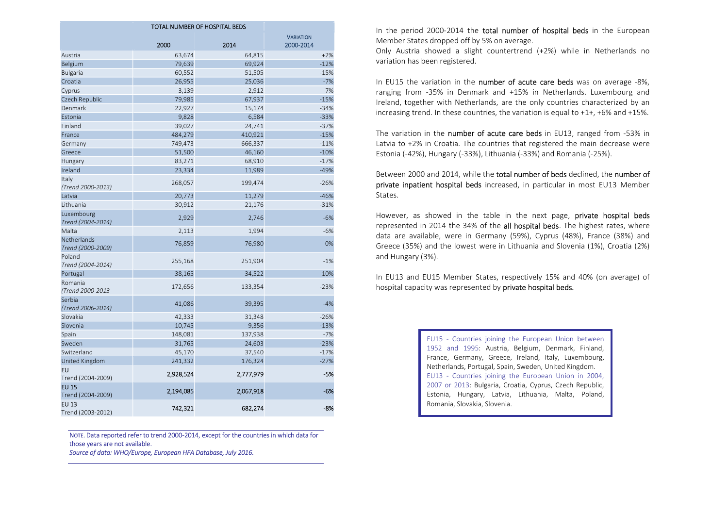| TOTAL NUMBER OF HOSPITAL BEDS     |           |           |                  |  |  |  |  |  |  |
|-----------------------------------|-----------|-----------|------------------|--|--|--|--|--|--|
|                                   |           |           | <b>VARIATION</b> |  |  |  |  |  |  |
|                                   | 2000      | 2014      | 2000-2014        |  |  |  |  |  |  |
| Austria                           | 63,674    | 64,815    | $+2%$            |  |  |  |  |  |  |
| Belgium                           | 79,639    | 69,924    | $-12%$           |  |  |  |  |  |  |
| <b>Bulgaria</b>                   | 60,552    | 51,505    | $-15%$           |  |  |  |  |  |  |
| Croatia                           | 26,955    | 25,036    | $-7%$            |  |  |  |  |  |  |
| Cyprus                            | 3,139     | 2,912     | $-7%$            |  |  |  |  |  |  |
| Czech Republic                    | 79,985    | 67,937    | $-15%$           |  |  |  |  |  |  |
| Denmark                           | 22,927    | 15,174    | $-34%$           |  |  |  |  |  |  |
| Estonia                           | 9,828     | 6,584     | $-33%$           |  |  |  |  |  |  |
| Finland                           | 39,027    | 24,741    | $-37%$           |  |  |  |  |  |  |
| France                            | 484,279   | 410,921   | $-15%$           |  |  |  |  |  |  |
| Germany                           | 749,473   | 666,337   | $-11%$           |  |  |  |  |  |  |
| Greece                            | 51,500    | 46,160    | $-10%$           |  |  |  |  |  |  |
| Hungary                           | 83,271    | 68,910    | $-17%$           |  |  |  |  |  |  |
| Ireland                           | 23,334    | 11,989    | $-49%$           |  |  |  |  |  |  |
| Italy<br>(Trend 2000-2013)        | 268,057   | 199,474   | $-26%$           |  |  |  |  |  |  |
| Latvia                            | 20,773    | 11,279    | $-46%$           |  |  |  |  |  |  |
| Lithuania                         | 30,912    | 21,176    | $-31%$           |  |  |  |  |  |  |
| Luxembourg<br>Trend (2004-2014)   | 2,929     | 2,746     | $-6%$            |  |  |  |  |  |  |
| Malta                             | 2,113     | 1,994     | $-6%$            |  |  |  |  |  |  |
| Netherlands<br>Trend (2000-2009)  | 76,859    | 76,980    | 0%               |  |  |  |  |  |  |
| Poland<br>Trend (2004-2014)       | 255,168   | 251,904   | $-1%$            |  |  |  |  |  |  |
| Portugal                          | 38,165    | 34,522    | $-10%$           |  |  |  |  |  |  |
| Romania<br>(Trend 2000-2013       | 172,656   | 133,354   | $-23%$           |  |  |  |  |  |  |
| Serbia<br>(Trend 2006-2014)       | 41,086    | 39,395    | $-4%$            |  |  |  |  |  |  |
| Slovakia                          | 42,333    | 31,348    | $-26%$           |  |  |  |  |  |  |
| Slovenia                          | 10,745    | 9,356     | $-13%$           |  |  |  |  |  |  |
| Spain                             | 148,081   | 137,938   | $-7%$            |  |  |  |  |  |  |
| Sweden                            | 31,765    | 24,603    | $-23%$           |  |  |  |  |  |  |
| Switzerland                       | 45,170    | 37,540    | $-17%$           |  |  |  |  |  |  |
| United Kingdom                    | 241,332   | 176,324   | $-27%$           |  |  |  |  |  |  |
| <b>EU</b><br>Trend (2004-2009)    | 2,928,524 | 2,777,979 | -5%              |  |  |  |  |  |  |
| <b>EU 15</b><br>Trend (2004-2009) | 2,194,085 | 2,067,918 | $-6%$            |  |  |  |  |  |  |
| <b>EU 13</b><br>Trend (2003-2012) | 742,321   | 682,274   | -8%              |  |  |  |  |  |  |

NOTE. Data reported refer to trend 2000-2014, except for the countries in which data for those years are not available.

Source of data: WHO/Europe, European HFA Database, July 2016.

In the period 2000-2014 the total number of hospital beds in the European Member States dropped off by 5% on average.

Only Austria showed a slight countertrend (+2%) while in Netherlands no variation has been registered.

In EU15 the variation in the number of acute care beds was on average -8%, ranging from -35% in Denmark and +15% in Netherlands. Luxembourg and Ireland, together with Netherlands, are the only countries characterized by an increasing trend. In these countries, the variation is equal to +1+, +6% and +15%.

The variation in the number of acute care beds in EU13, ranged from -53% in Latvia to +2% in Croatia. The countries that registered the main decrease were Estonia (-42%), Hungary (-33%), Lithuania (-33%) and Romania (-25%).

Between 2000 and 2014, while the total number of beds declined, the number of private inpatient hospital beds increased, in particular in most EU13 Member States.

However, as showed in the table in the next page, **private hospital beds** represented in 2014 the 34% of the all hospital beds. The highest rates, where data are available, were in Germany (59%), Cyprus (48%), France (38%) and Greece (35%) and the lowest were in Lithuania and Slovenia (1%), Croatia (2%) and Hungary (3%).

In EU13 and EU15 Member States, respectively 15% and 40% (on average) of hospital capacity was represented by **private hospital beds.** 

> EU15 - Countries joining the European Union between 1952 and 1995: Austria, Belgium, Denmark, Finland, France, Germany, Greece, Ireland, Italy, Luxembourg, Netherlands, Portugal, Spain, Sweden, United Kingdom. EU13 - Countries joining the European Union in 2004, 2007 or 2013: Bulgaria, Croatia, Cyprus, Czech Republic, Estonia, Hungary, Latvia, Lithuania, Malta, Poland, Romania, Slovakia, Slovenia.